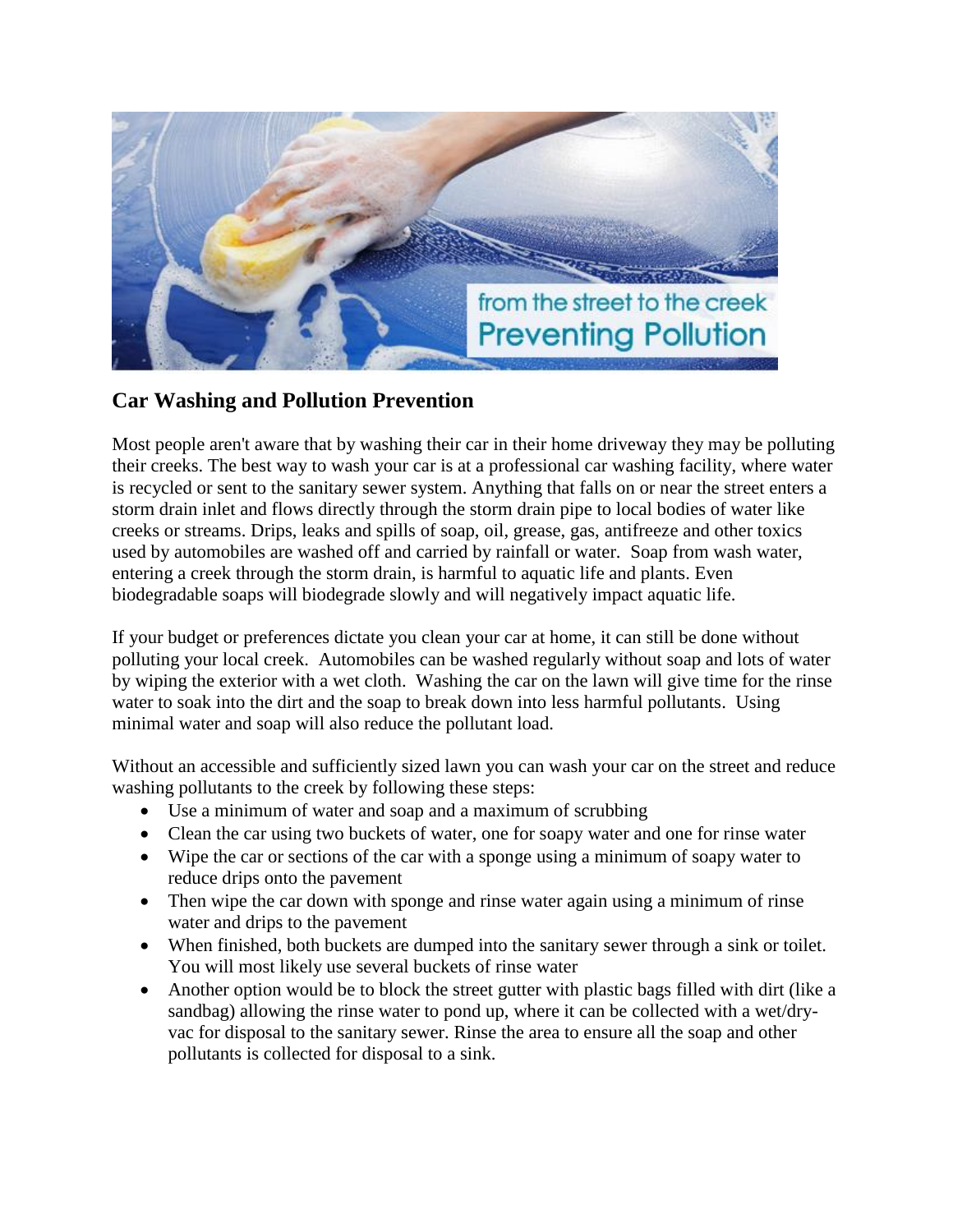

## **Car Washing and Pollution Prevention**

Most people aren't aware that by washing their car in their home driveway they may be polluting their creeks. The best way to wash your car is at a professional car washing facility, where water is recycled or sent to the sanitary sewer system. Anything that falls on or near the street enters a storm drain inlet and flows directly through the storm drain pipe to local bodies of water like creeks or streams. Drips, leaks and spills of soap, oil, grease, gas, antifreeze and other toxics used by automobiles are washed off and carried by rainfall or water. Soap from wash water, entering a creek through the storm drain, is harmful to aquatic life and plants. Even biodegradable soaps will biodegrade slowly and will negatively impact aquatic life.

If your budget or preferences dictate you clean your car at home, it can still be done without polluting your local creek. Automobiles can be washed regularly without soap and lots of water by wiping the exterior with a wet cloth. Washing the car on the lawn will give time for the rinse water to soak into the dirt and the soap to break down into less harmful pollutants. Using minimal water and soap will also reduce the pollutant load.

Without an accessible and sufficiently sized lawn you can wash your car on the street and reduce washing pollutants to the creek by following these steps:

- Use a minimum of water and soap and a maximum of scrubbing
- Clean the car using two buckets of water, one for soapy water and one for rinse water
- Wipe the car or sections of the car with a sponge using a minimum of soapy water to reduce drips onto the pavement
- Then wipe the car down with sponge and rinse water again using a minimum of rinse water and drips to the pavement
- When finished, both buckets are dumped into the sanitary sewer through a sink or toilet. You will most likely use several buckets of rinse water
- Another option would be to block the street gutter with plastic bags filled with dirt (like a sandbag) allowing the rinse water to pond up, where it can be collected with a wet/dryvac for disposal to the sanitary sewer. Rinse the area to ensure all the soap and other pollutants is collected for disposal to a sink.